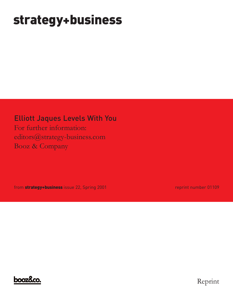# **strategy+business**

# Elliott Jaques Levels With You

For further information: editors@strategy-business.com Booz & Company

from **strategy+business** issue 22, Spring 2001 **reprint number 01109** reprint number 01109



Reprint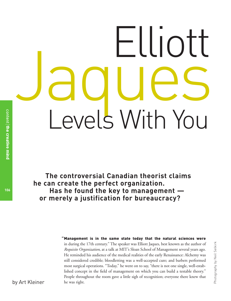# Hlliott Levels With You

**The controversial Canadian theorist claims he can create the perfect organization. Has he found the key to management or merely a justification for bureaucracy?**

> **Management is in the same state today that the natural sciences were "**in during the 17th century." The speaker was Elliott Jaques, best known as the author of *Requisite Organization*, at a talk at MIT's Sloan School of Management several years ago. He reminded his audience of the medical realities of the early Renaissance: Alchemy was still considered credible; bloodletting was a well-accepted cure; and barbers performed most surgical operations. "Today," he went on to say, "there is not one single, well-established concept in the field of management on which you can build a testable theory." People throughout the room gave a little sigh of recognition; everyone there knew that he was right.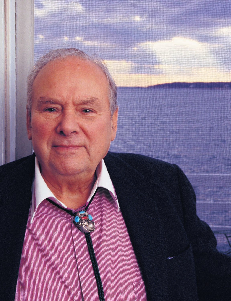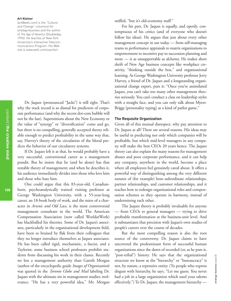### **Art Kleiner**

(art@well.com) is the "Culture and Change" columnist for *strategy+business* and the author of *The Age of Heretics* (Doubleday, 1996). He teaches at New York University's Interactive Telecommunications Program. His Web site is www.well.com/user/art.

**108**

Dr. Jaques (pronounced "Jacks") is still right. That's why the track record is so dismal for predictors of corporate performance (and why the recent dot-com bubble will not be the last). Superstitions about the New Economy or the value of "synergy" or "diversification" come and go, but there is no compelling, generally accepted theory reliable enough to predict profitability in the same way that, say, Harvey's theory of the circulation of the blood predicts the behavior of our circulatory systems.

If Dr. Jaques left it at that, he would probably have a very successful, conventional career as a management pundit. But he insists that he (and he alone) has that testable theory of management; and when he describes it, his audience immediately divides into those who love him and those who hate him.

One could argue that this 83-year-old, Canadianborn, psychoanalytically trained visiting professor at George Washington University, with a 55-year-long career, an 18-book body of work, and the mien of a character in *Arsenic and Old Lace*, is the most controversial management consultant in the world. The American Compensation Association (now called WorldatWork) has blackballed his theories. Some of Dr. Jaques's associates, particularly in the organizational development field, have been so bruised by flak from their colleagues that they no longer introduce themselves as Jaques associates. He has been called rigid, mechanistic, a fascist, and a Taylorist; some business school professors prohibit students from discussing his work in their classes. Recently no less a management authority than Gareth Morgan (author of the encyclopedic guide *Images of Organization*) was quoted in the *Toronto Globe and Mail* labeling Dr. Jaques with the ultimate sin in management studies: irrelevance. "He has a very powerful idea," Mr. Morgan

sniffed, "but it's old-economy stuff."

For his part, Dr. Jaques is equally, and openly, contemptuous of his critics (and of everyone who doesn't follow his ideas). He argues that just about every other management concept in use today — from self-managing teams to performance appraisals to matrix organizations to empowerment to incentive pay to succession planning and more — is as unsupportable as alchemy. He makes short shrift of New Age business concepts like workplace creativity, "thinking outside the box," and organizational learning. As George Washington University professor Jerry Harvey, a friend of Dr. Jaques and a longstanding organizational change expert, puts it: "Once you've assimilated Jaques, you can't take too many other management theories seriously. You can't conduct a class on leadership styles with a straight face, and you can only talk about Myers-Briggs [personality typing] as a kind of parlor game."

# **The Requisite Organization**

Given all of this mutual disrespect, why pay attention to Dr. Jaques at all? There are several reasons. His ideas may be useful in predicting not only which companies will be profitable, but which mid-level managers in any company will make the best CEOs 20 years hence. The Jaques theory can also explain the many reasons for management abuses and poor corporate performance, and it can help any company, anywhere in the world, become a place where all employees feel genuinely cared about. It offers a powerful way of distinguishing among the very different natures of (for example) boss–subordinate relationships, partner relationships, and customer relationships, and it teaches how to redesign organizational roles and compensation schemes so they operate in harmony, instead of undermining each other.

The Jaques theory is probably invaluable for anyone — from CEOs to general managers — trying to drive profitable transformation at the business-unit level. And it substantiates that precision with Jaques's own studies of people's careers over the course of decades.

But the most compelling reason is also the root source of the controversy. Dr. Jaques claims to have uncovered the predominant form of successful human organizations since the dawn of recorded (or, as he puts it, "post-tribal") history. He says that the organizational structure we know as the "hierarchy" or "bureaucracy" is not, by nature, a repressive entity. (To people who express disgust with hierarchy, he says, "Let me guess. You never had a job in a large organization which used your talents effectively.") To Dr. Jaques, the management hierarchy —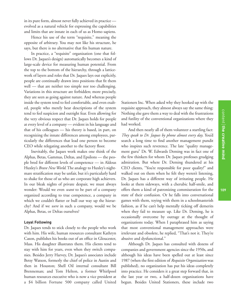in its pure form, almost never fully achieved in practice evolved as a natural vehicle for expressing the capabilities and limits that are innate in each of us as Homo sapiens.

Hence his use of the term "requisite," meaning the opposite of arbitrary. You may not like his structure, he says, but there is no alternative that fits human nature.

In practice, a "requisite" organization (one that follows Dr. Jaques's design) automatically becomes a kind of large-scale device for measuring human potential. From the top to the bottom of the hierarchy, through a latticework of layers and roles that Dr. Jaques lays out explicitly, people are continually drawn into positions that fit them well — that are neither too simple nor too challenging. Variations in this structure are forbidden; more precisely, they are seen as going against nature. And whereas people inside the system tend to feel comfortable, and even exalted, people who merely hear descriptions of the system tend to feel suspicion and outright fear. Even allowing for the very obvious respect that Dr. Jaques holds for people at every level of a company — evident in his language and that of his colleagues — his theory is based, in part, on recognizing the innate differences among employees, particularly the differences that lead one person to become CEO while relegating another to the factory floor.

Inevitably, the Jaques work makes one think of the Alphas, Betas, Gammas, Deltas, and Epsilons — the people bred for different levels of competence — in Aldous Huxley's *Brave New World*. The analogy to Huxley's nightmare stratification may be unfair, but it's particularly hard to shake for those of us who are corporate high achievers. In our bleak nights of private despair, we must always wonder: Would we even *want* to be part of a company organized according to true competence, a company in which we couldn't flatter or bull our way up the hierarchy? And if we *were* in such a company, would we be Alphas, Betas, or Deltas ourselves?

## **Loyal Following**

Dr. Jaques tends to stick closely to the people who work with him. His wife, human resources consultant Kathryn Cason, publishes his books out of an office in Gloucester, Mass. His daughter illustrates them. His clients tend to stay with him for years, even when they switch companies. Besides Jerry Harvey, Dr. Jaques's associates include Betsy Watson, formerly the chief of police in Austin and then in Houston; Shell Oil internal consultant Bill Brenneman; and Tom Helton, a former Whirlpool human resources executive who is now a vice president at a \$4 billion Fortune 500 company called United

Stationers Inc. When asked why they hooked up with the requisite approach, they almost always say the same thing: Nothing else gave them a way to deal with the frustrations and futility of the conventional organizations where they had worked.

And then nearly all of them volunteer a startling fact: *They speak to Dr. Jaques by phone almost every day*. You'd search a long time to find another management pundit who inspires such reverence. The late "quality management guru" Dr. W. Edwards Deming was in fact one of the few thinkers for whom Dr. Jaques professes grudging admiration. But where Dr. Deming thundered at his CEO clients, "You're responsible for poor quality!" and walked out on them when he felt they weren't listening, Dr. Jaques has a different way of irritating people. He looks at them sideways, with a cherubic half-smile, and offers them a kind of patronizing commiseration for the state of their confusion. Or he falls into conversational games with them, toying with them in a schoolmasterish fashion, as if he can't help mentally ticking off demerits when they fail to measure up. Like Dr. Deming, he is occasionally overcome by outrage at the thought of organizations today. When I paraphrased him as saying that most conventional management approaches were irrelevant and obsolete, he replied, "That's not it. They're abusive and dysfunctional."

Although Dr. Jaques has consulted with dozens of companies and government agencies since the 1950s, and although his ideas have been spelled out at least since 1987 (when the first edition of *Requisite Organization* was published), no organization has put his ideas completely into practice. He considers it a great step forward that, in the last year or two, a half-dozen organizations have begun. Besides United Stationers, these include two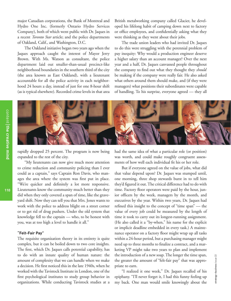major Canadian corporations, the Bank of Montreal and Hydro One Inc. (formerly Ontario Hydro Services Company), both of which went public with Dr. Jaques in a recent *Toronto Star* article; and the police departments of Oakland, Calif., and Washington, D.C.

The Oakland initiative began two years ago when the Jaques approach caught the interest of Mayor Jerry Brown. With Ms. Watson as consultant, the police department laid out smaller-than-usual precinct-like neighborhood boundaries in the southern third of the city (the area known as East Oakland), with a lieutenant accountable for all the police activity in each neighborhood 24 hours a day, instead of just for one 8-hour shift (as is typical elsewhere). Recorded crime levels in that area British metalworking company called Glacier, he developed his lifelong habit of camping down next to factory or office employees, and confidentially asking what they were thinking as they went about their jobs.

The trade union leaders who had invited Dr. Jaques to do this were struggling with the perennial problem of pay inequity: Why would a production engineer deserve a higher salary than an account manager? Over the next year and a half, Dr. Jaques canvassed people throughout the company to find out what they thought they *should* be making if the company were really fair. He also asked what others around them should make, and (if they were managers) what positions their subordinates were capable of handling. To his surprise, everyone agreed — they all



rapidly dropped 25 percent. The program is now being expanded to the rest of the city.

"My lieutenants can now give much more attention to crime reduction and community policing than I ever could as a captain," says Captain Ron Davis, who manages the area where the system was first put in place. "We're quicker and definitely a lot more responsive. Lieutenants know the community much better than they did when they only covered a span of time, like the graveyard shift. Now they can tell you that Mrs. Jones wants to work with the police to address blight on a street corner or to get rid of drug pushers. Under the old system that knowledge fell to the captain — who, to be honest with you, was at too high a level to handle it all."

# **"Felt-Fair Pay"**

The requisite organization theory in its entirety is quite complex, but it can be boiled down to two core insights. The first, which Dr. Jaques calls potential capability, has to do with an innate quality of human nature: the amount of complexity that we can handle when we make a decision. He first noticed this in the late 1940s, when he worked with the Tavistock Institute in London, one of the first psychological institutes to study group behavior in organizations. While conducting Tavistock studies at a had the same idea of what a particular role (or position) was worth, and could make roughly congruent assessments of how well each individual fit his or her role.

But if everyone agreed on the value of jobs, what did that value depend upon? Dr. Jaques was stumped until, one morning, three shop stewards burst in to tell him they'd figured it out. The critical difference had to do with time. Factory floor operators were paid by the hour, junior officers by the week, managers by the month, and executives by the year. Within two years, Dr. Jaques had refined this insight to the concept of "time span" — the value of every job could be measured by the length of time it took to carry out its longest-running assignment. (He also called it a "by-when," his name for the explicit or implicit deadline embedded in every task.) A maintenance operator on a factory floor might wrap up all tasks within a 24-hour period, but a purchasing manager might need up to three months to finalize a contract, and a marketing VP might take two years to plan and implement the introduction of a new soap. The longer the time span, the greater the amount of "felt-fair pay" that was appropriate to earn.

"I realized it one week," Dr. Jaques recalled of his epiphany. "I'll never forget it, I had this funny feeling up my back. One man would smile knowingly about the

**110**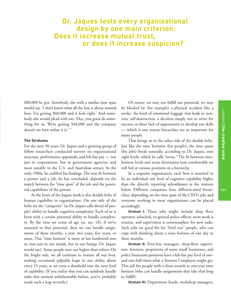# **Dr. Jaques tests every organizational design by one main criterion: Does it increase mutual trust, or does it increase suspicion?**

\$80,000 he got. Somebody else with a similar time span would say, 'I don't know what all the fuss is about around here. I'm getting \$60,000 and it feels right.' And somebody else would plead with me, 'Doc, you gotta do something for us. We're getting \$48,000 and the company doesn't see how unfair it is.' "

# **The Stratums**

For the next 30 years, Dr. Jaques and a growing group of fellow researchers conducted surveys on organizational structure, performance appraisals, and felt-fair pay — not just in corporations, but in government agencies, and most notably in the U.S. and Australian armies. In the early 1980s, he codified his findings. The true fit between a person and a job, he has concluded, depends on the match between the "time span" of the job and the potential capabilities of the person.

At the heart of the Jaques work is this double helix of human capability in organizations. On one side of the helix are the "categories" (as Dr. Jaques calls them) of people's ability to handle cognitive complexity. Each of us is born with a certain potential ability to handle complexity. By the time we come of age (at, say, 18), if we've matured to that potential, then we can handle assignments of three months, a year, two years, five years, or more. This "time horizon" is more or less hardwired into us (not just in our minds, but in our beings, Dr. Jaques would say). Some people start out higher than others. On the bright side, we all continue to mature all our lives, making occasional palpable leaps in our ability about every 15 years, as we cross a threshold into the next level of capability. (If you realize that you can suddenly handle tasks that seemed unfathomable before, you've probably made such a leap recently.)

Of course, we may not fulfill our potential; we may be blocked by (for example) a physical accident like a stroke, the kind of emotional baggage that leads to neurotic self-destruction, a decision simply not to strive for success, or sheer lack of opportunity to develop our skills — which is one reason hierarchies are so important for many people.

That brings us to the other side of the double helix. Just like the time horizons (for people), the time spans (for jobs) break naturally, according to Dr. Jaques, into eight levels, which he calls "strata." The fit between timehorizon levels and strata determines how comfortable we will feel at various positions in a hierarchy.

In a requisite organization, each boss is assumed to be an individual one level of cognitive capability higher than the directly reporting subordinates at the stratum below. Different companies have different-sized hierarchies, depending on the time span of the CEO's job; and everyone working in most organizations can be placed accordingly:

**Stratum I:** These jobs might include shop floor operator, salesclerk, or general police officer; most work is routine, and supervision is commonplace for new tasks. Such jobs are good fits for "level one" people, who can cope with thinking about a time horizon of one day to three months.

Stratum II: First-line managers, shop-floor supervisors, foremen, proprietors of some small businesses, and police lieutenant positions have a felt-fair pay level of oneand-one-half times what a Stratum I employee might get. This job fits people with a three-month to one-year time horizon (who can handle assignments that take that long to fulfill).

**Stratum III:** Department heads, workshop managers,

content

**the creative mind**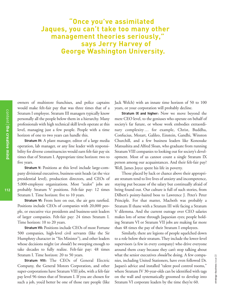# **"Once you've assimilated Jaques, you can't take too many other management theories seriously," says Jerry Harvey of George Washington University.**

owners of multistore franchises, and police captains would make felt-fair pay that was three times that of a Stratum I employee. Stratum III managers typically know personally all the people below them in a hierarchy. Many professionals with high technical skill levels operate at this level, managing just a few people. People with a time horizon of one to two years can handle this.

**Stratum IV:** A plant manager, editor of a large media operation, lab manager, or any line leader with responsibility for diverse constituencies would earn felt-fair pay six times that of Stratum I. Appropriate time horizon: two to five years.

**Stratum V:** Positions at this level include large-company divisional executives, business-unit heads (at the vice presidential level), production directors, and CEOs of 5,000-employee organizations. Most "zealot" jobs are probably Stratum V positions. Felt-fair pay: 12 times Stratum I. Time horizon: five to 10 years.

**Stratum VI:** From here on out, the air gets rarefied. Positions include CEOs of companies with 20,000 people, or executive vice presidents and business-unit leaders of larger companies. Felt-fair pay: 24 times Stratum I. Time horizon: 10 to 20 years.

**Stratum VII:** Positions include CEOs of most Fortune 500 companies, high-level civil servants (like the Sir Humphrey character in "Yes Minister"), and other leaders whose decisions might (or *should*) be sweeping enough to take decades to fully realize. Felt-fair pay: 48 times Stratum I. Time horizon: 20 to 50 years.

**Stratum VIII:** The CEOs of General Electric Company, the General Motors Corporation, and other super-corporations have Stratum VIII jobs, with a felt-fair pay level 96 times that of Stratum I. If you are chosen for such a job, you'd better be one of those rare people (like

Jack Welch) with an innate time horizon of 50 to 100 years, or your corporation will probably decline.

**Stratum IX and higher:** Now we move beyond the mere CEO level, to the geniuses who operate on behalf of society's far future, or whose work embodies extraordinary complexity … for example, Christ, Buddha, Confucius, Mozart, Galileo, Einstein, Gandhi, Winston Churchill, and a few business leaders like Konosuke Matsushita and Alfred Sloan, who graduate from running Stratum VIII companies to looking out for society's development. Most of us cannot count a single Stratum IX person among our acquaintances. And their felt-fair pay? Well, James Joyce spent his life in poverty.

Those placed by luck or chance above their appropriate stratum tend to live lives of anxiety and incompetence, staying put because of the salary but continually afraid of being found out. Our culture is full of such stories, from Dilbert's pointy-haired boss to Lawrence J. Peter's Peter Principle. For that matter, Macbeth was probably a Stratum II thane with a Stratum III wife facing a Stratum V dilemma. And the current outrage over CEO salaries makes lots of sense through Jaquesian eyes; people holding Stratum VI or Stratum VII jobs are making far more than 48 times the pay of their Stratum I employees.

Similarly, there are legions of people squelched down to a role below their stratum. They include the lower-level supervisors (a few in every company) who drive everyone around them crazy because they can't stop talking about what the senior executives *should* be doing. A few companies, including United Stationers, have even followed Dr. Jaques's advice and installed "talent pool control rooms," where Stratum IV 30-year-olds can be identified with tags on the wall and systematically groomed to develop into Stratum VI corporate leaders by the time they're 60.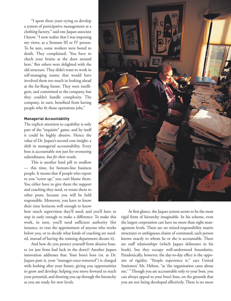"I spent three years trying to develop a system of participative management at a clothing factory," said one Jaques associate I know. "I now realize that I was imposing my views, as a Stratum III or IV person. To be sure, some workers were bored to death. They complained: 'You have to check your brains at the door around here.' But others were delighted with the old structure. They didn't want to work in self-managing teams; that would have involved them too much in looking ahead at the far-flung future. They were intelligent, and committed to the company, but they couldn't handle complexity. The company, in turn, benefited from having people who fit those operations jobs."

# **Managerial Accountability**

The explicit attention to capability is only part of the "requisite" game, and by itself it could be highly abusive. Hence the value of Dr. Jaques's second core insight: a shift in managerial accountability. Every boss is accountable not just for overseeing subordinates, *but for their results*.

This is another hard pill to swallow — this time, for bottom-line business people. It means that if people who report to you "screw up," you can't blame them. You either have to give them the support and coaching they need, or rotate them to other posts, because you will be held responsible. Moreover, you have to know their time horizons well enough to know

how much supervision they'll need; and you'll have to step in early enough to make a difference. To make this work, in turn, you'll need sufficient authority (for instance, to veto the appointment of anyone who works below you, or to decide what kinds of coaching are needed, instead of having the training department dictate it).

And how do you protect yourself from abusive bosses (or just from bad luck in the draw)? Another Jaques innovation addresses that. Your boss's boss (or, as Dr. Jaques puts it, your "manager-once-removed") is charged with looking after your future, giving you opportunities to grow and develop, helping you move forward to reach your potential, and drawing you up through the hierarchy as you are ready for new levels.

![](_page_8_Picture_6.jpeg)

At first glance, the Jaques system seems to be the most rigid form of hierarchy imaginable. In his scheme, even the largest corporation can have no more than eight management levels. There are no mixed-responsibility matrix structures or ambiguous chains of command; each person knows exactly to whom he or she is accountable. There are staff relationships (which Jaques delineates in his book), but they occupy well-understood boundaries. Paradoxically, however, the day-to-day effect is the opposite of rigidity. "People experience it," says United Stationers' Mr. Helton, "as 'the organization cares about me.' " Though you are accountable only to your boss, you can always appeal to your boss's boss, on the grounds that you are not being developed effectively. There is no more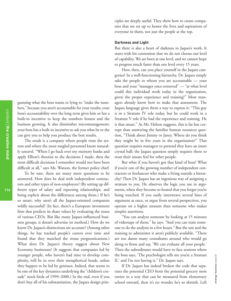**114**

guessing what the boss wants or lying to "make the numbers," because you aren't accountable for your results; your boss's accountability over the long term gives him or her a built-in incentive to keep the numbers honest and the business growing. It also diminishes micromanagement; your boss has a built-in incentive to ask you what he or she can give you to help you produce the best results.

The result is a company where people trust the system and where the most tangled personnel knots naturally unravel. "When I go back over my memory banks and apply Elliott's theories to the decisions I made, then the most difficult decisions I remember would not have been difficult at all," says Ms. Watson, the former police chief.

To be sure, there are many more questions to be answered. How does he deal with independent contractors and other types of non-employees? (By setting up different types of salary and reporting relationships, and being explicit about the differences among them.) If he's so smart, why aren't all the Jaques-oriented companies wildly successful? (In fact, there's a European investment firm that predicts its share values by evaluating the strata of various CEOs. But like many Jaques-influenced business groups, it doesn't advertise its method.) How do we know Dr. Jaques's distinctions are accurate? (Among other things, he has tracked people's careers over time and found that they matched the strata prognostications.) What does Dr. Jaques's theory suggest about New Economy businesses? (It suggests that companies led by younger people, who haven't had time to develop complexity, will be in over their metaphorical heads, unless they happen to be led by geniuses. Indeed, that seems to be one of the key dynamics underlying the "children's crusade" stock fizzle of 1999–2000.) In the end, even if you don't buy all of his substantiation, the Jaques design principles are deeply useful. They show how to create companies that are set up to honor the lives and aspirations of everyone in them, not just the people at the top.

### **Darkness and Light**

But there is also a heart of darkness in Jaques's work. It starts with his contention that we do not choose our level of capability. We are born at one level, and we cannot hope to progress much faster than one level every 15 years.

How, then, can you place yourself in the Jaques categories? In a well-functioning hierarchy, Dr. Jaques simply asks the people to whom you are accountable — your boss and your "manager once-removed" — "at what level could this individual work today in the organization, given the proper experience and training?" Most managers already know how to make that assessment. The Jaques language gives them a way to express it: "This guy is in a Stratum IV role today, but he could work in a Stratum V role if he had the experience and training. He is that smart." As Mr. Helton suggests, this is far less corrupt than answering the familiar human resources question, "Think about Jimmy or Janey. Where do you think they might be in five years in the organization?" That question requires managers to pretend they have an inner crystal ball; the Jaques question simply requires them to trust their innate feel for other people.

But what if you haven't got that kind of boss? What if you're one of the growing number of independent contractors or freelancers who make a living outside a hierarchy? Then Dr. Jaques has an ingenious way of assigning a stratum to you. He observes the logic you use in arguments, when they become so heated that you forget you're being watched. If you easily interweave several lines of argument at once, or argue from several perspectives, you operate on a higher stratum than someone who makes simpler assertions.

"You can analyze someone by looking at 15 minutes of videotape of them," he says. "And you can train someone to do the analysis in a few hours." But the test and the training to administer it aren't publicly available. "There are too damn many consultants around who would go along to firms and say, 'We can evaluate all your people.' Then the subordinates would have to face sessions where the boss says, 'The psychologist tells me you're a Stratum II,' and I'm not having it," Dr. Jaques says.

If Dr. Jaques has indeed broken the code that separates the potential CEO from the potential grocery store owner in a way that can be measured from elementary school onward, then it's no wonder he's so skittish. Left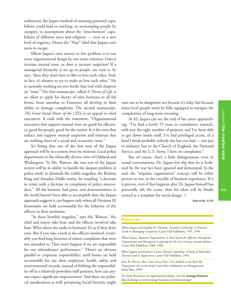content

**the creative mind**

unfettered, the Jaques method of assessing potential capabilities could lead to tracking, to stereotyping people by category, to assumptions about the "time-horizon" capabilities of different races and religions — even to a new level of eugenics. Hence the "Nazi" label that Jaques can't seem to escape.

Elliott Jaques's own answer to this problem is to test every organizational design by one main criterion: Does it increase mutual trust, or does it increase suspicion? If a managerial hierarchy is set up so people can trust it, he says, "then they don't have to like or love each other. And, in fact, it's abusive to try to make us love each other." He is currently working on two books that end with chapters on "trust." The first manuscript, called *A Theory of Life*, is an effort to apply his theory of time horizons to all life forms, from amoebas to Einsteins; all develop in their ability to manage complexity. The second manuscript, *The Great Social Power of the CEO*, is an appeal to chief executives. It ends with the statement, "Organizational structures that support mutual trust are good for efficiency, good for people, good for the nation. It is the ones that induce and support mutual suspicion and mistrust that are nothing short of a social and economic curse."

It's fitting that one of the first tests of the Jaques approach will be in a system riven by mistrust: Local police departments in the ethnically diverse cities of Oakland and Washington. To Ms. Watson, the true test of the Jaques system will be its ability to handle the deepest problem in police work: to diminish the visible tragedies, the Rodney King and Amadou Diallo stories, by coupling "a decrease in crime with a decrease in complaints of police misconduct." All the lawsuits, bad press, and demonstrations in the world haven't been able to accomplish that; the Jaques approach suggests it can happen only when all (Stratum II) lieutenants are held accountable for the behavior of the officers in their territories.

"In these horrible tragedies," says Ms. Watson, "the chief and mayor take heat, and the officers involved take heat. What about the ranks in between? It's as if they don't exist. But if you take a look at the officers involved, invariably you find long histories of minor complaints that were not attended to. That won't happen if we are responsible for our subordinates' performance." There's an obvious parallel to corporate responsibility; until bosses are held accountable for, say, their employees' health, safety, and environmental records, instead of fobbing the responsibility off to a relatively powerless staff position, how can anyone expect significant improvement? And there are political ramifications as well; privatizing Social Security might

turn out to be dangerous not because it's risky, but because lower-level people won't be fully equipped to navigate the complexities of long-term investing.

At 83, Jaques can see the end of his career approaching. "I've had a lovely 55 years in consultancy research, with just the right number of projects, and I've been able to get down inside stuff. I've had privileged access, of a kind I think probably nobody else has ever had — not just to industry, but to the Church of England, the National Service, and the U.S. Army. I have no complaints."

But of course, that's a little disingenuous; even in casual conversations, Dr. Jaques lets slip that he is bothered by the way he's been ignored and demonized. In the end, the "requisite organization" concept will be either proven or not, in the crucible of business experience. If it is proven, even if that happens after Dr. Jaques himself has personally left the scene, then his ideas will be finally treated as a template for social design. **+**

Reprint No. 01109

## **Resources**

Elliott Jaques and Stephen D. Clement, *Executive Leadership: A Practical Guide to Managing Complexity*, Cason Hall Publishers, 1991, 1994

Elliott Jaques, *Requisite Organization: A Total System for Effective Managerial Organization and Managerial Leadership for the 21st Century*, second edition, Cason Hall Publishers, 1988, 1996

Elliott Jaques and Kathryn Cason, *Human Capability: A Study of Individual Potential and its Application*, Cason Hall Publishers, 1994

Jerry B. Harvey, *How Come Every Time I Get Stabbed in the Back My Fingerprints Are on the Knife? (and Other Meditations on Management)*, Jossey-Bass, 1999

For more discussion on organizational design, visit the **strategy+business** Idea Exchange at www.strategy-business.com/ideaexchange/